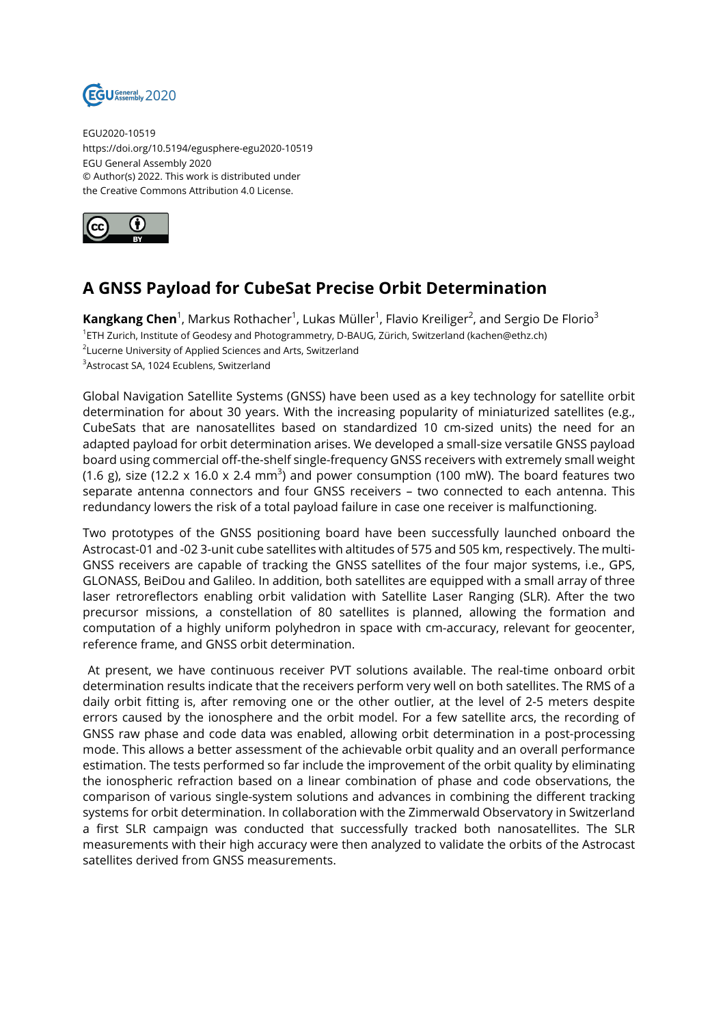

EGU2020-10519 https://doi.org/10.5194/egusphere-egu2020-10519 EGU General Assembly 2020 © Author(s) 2022. This work is distributed under the Creative Commons Attribution 4.0 License.



## **A GNSS Payload for CubeSat Precise Orbit Determination**

**Kangkang Chen**<sup>1</sup>, Markus Rothacher<sup>1</sup>, Lukas Müller<sup>1</sup>, Flavio Kreiliger<sup>2</sup>, and Sergio De Florio<sup>3</sup> 1 ETH Zurich, Institute of Geodesy and Photogrammetry, D-BAUG, Zürich, Switzerland (kachen@ethz.ch) <sup>2</sup>Lucerne University of Applied Sciences and Arts, Switzerland <sup>3</sup>Astrocast SA, 1024 Ecublens, Switzerland

Global Navigation Satellite Systems (GNSS) have been used as a key technology for satellite orbit determination for about 30 years. With the increasing popularity of miniaturized satellites (e.g., CubeSats that are nanosatellites based on standardized 10 cm-sized units) the need for an adapted payload for orbit determination arises. We developed a small-size versatile GNSS payload board using commercial off-the-shelf single-frequency GNSS receivers with extremely small weight (1.6 g), size (12.2 x 16.0 x 2.4 mm<sup>3</sup>) and power consumption (100 mW). The board features two separate antenna connectors and four GNSS receivers – two connected to each antenna. This redundancy lowers the risk of a total payload failure in case one receiver is malfunctioning.

Two prototypes of the GNSS positioning board have been successfully launched onboard the Astrocast-01 and -02 3-unit cube satellites with altitudes of 575 and 505 km, respectively. The multi-GNSS receivers are capable of tracking the GNSS satellites of the four major systems, i.e., GPS, GLONASS, BeiDou and Galileo. In addition, both satellites are equipped with a small array of three laser retroreflectors enabling orbit validation with Satellite Laser Ranging (SLR). After the two precursor missions, a constellation of 80 satellites is planned, allowing the formation and computation of a highly uniform polyhedron in space with cm-accuracy, relevant for geocenter, reference frame, and GNSS orbit determination.

At present, we have continuous receiver PVT solutions available. The real-time onboard orbit determination results indicate that the receivers perform very well on both satellites. The RMS of a daily orbit fitting is, after removing one or the other outlier, at the level of 2-5 meters despite errors caused by the ionosphere and the orbit model. For a few satellite arcs, the recording of GNSS raw phase and code data was enabled, allowing orbit determination in a post-processing mode. This allows a better assessment of the achievable orbit quality and an overall performance estimation. The tests performed so far include the improvement of the orbit quality by eliminating the ionospheric refraction based on a linear combination of phase and code observations, the comparison of various single-system solutions and advances in combining the different tracking systems for orbit determination. In collaboration with the Zimmerwald Observatory in Switzerland a first SLR campaign was conducted that successfully tracked both nanosatellites. The SLR measurements with their high accuracy were then analyzed to validate the orbits of the Astrocast satellites derived from GNSS measurements.